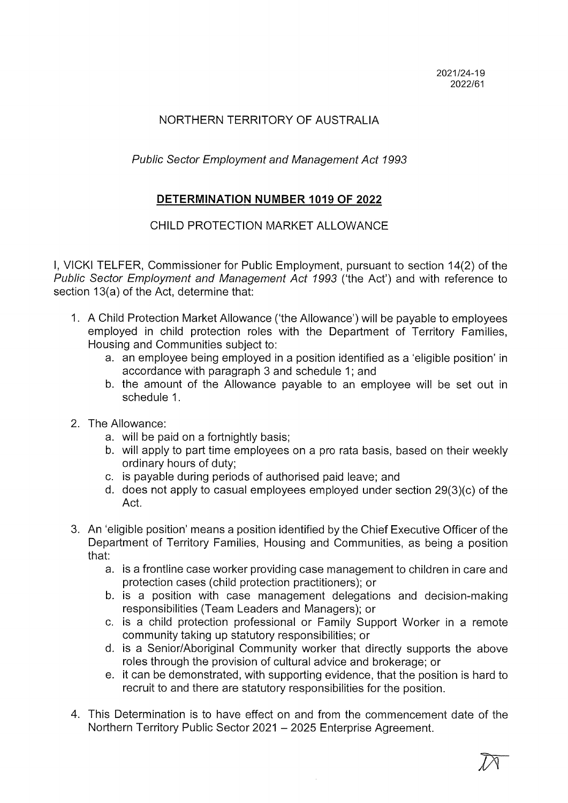## NORTHERN TERRITORY OF AUSTRALIA

Public Sector Employment and Management Act 1993

## DETERMINATION NUMBER 1019 OF 2022

## CHILD PROTECTION MARKET ALLOWANCE

I, VICKI TELFER, Commissioner for Public Employment, pursuant to section 14(2) of the Public Sector Employment and Management Act 1993 ('the Act') and with reference to section 13(a) of the Act, determine that:

- I. A Child Protection Market Allowance ('the Allowance') will be payable to employees employed in child protection roles with the Department of Territory Families, Housing and Communities subject to:
	- a. an employee being employed in a position identified as a 'eligible position' in accordance with paragraph 3 and schedule 1; and
	- b. the amount of the Allowance payable to an employee will be set out in schedule I.
- 2. The Allowance:
	- a. will be paid on a fortnightly basis;
	- b. will apply to part time employees on a pro rata basis, based on their weekly ordinary hours of duty;
	- c. is payable during periods of authorised paid leave; and
	- d. does not apply to casual employees employed under section 29(3)(c) of the Act.
- 3. An 'eligible position' means a position identified by the Chief Executive Officer of the Department of Territory Families, Housing and Communities, as being a position that:
	- a. is a frontline case worker providing case management to children in care and protection cases (child protection practitioners); or
	- b. is a position with case management delegations and decision-making responsibilities (Team Leaders and Managers); or
	- c. is a child protection professional or Family Support Worker in a remote community taking up statutory responsibilities; or
	- d. is a Senior/Aboriginal Community worker that directly supports the above roles through the provision of cultural advice and brokerage; or
	- e. it can be demonstrated, with supporting evidence, that the position is hard to recruit to and there are statutory responsibilities for the position.
- 4. This Determination is to have effect on and from the commencement date of the Northern Territory Public Sector 2021 - 2025 Enterprise Agreement.

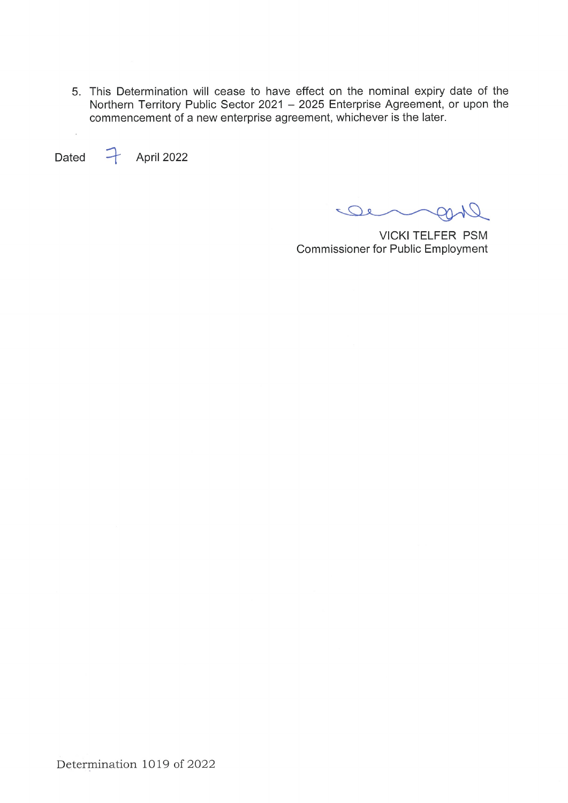5. This Determination will cease to have effect on the nominal expiry date of the Northern Territory Public Sector 2021 - 2025 Enterprise Agreement, or upon the commencement of a new enterprise agreement, whichever is the later.

Dated  $\rightarrow$  April 2022

 $\ddot{\phantom{a}}$ 

 $\overline{\mathcal{Q}}$ De  $\mathcal{O}$ 

VICKI TELFER PSM **Commissioner for Public Employment**